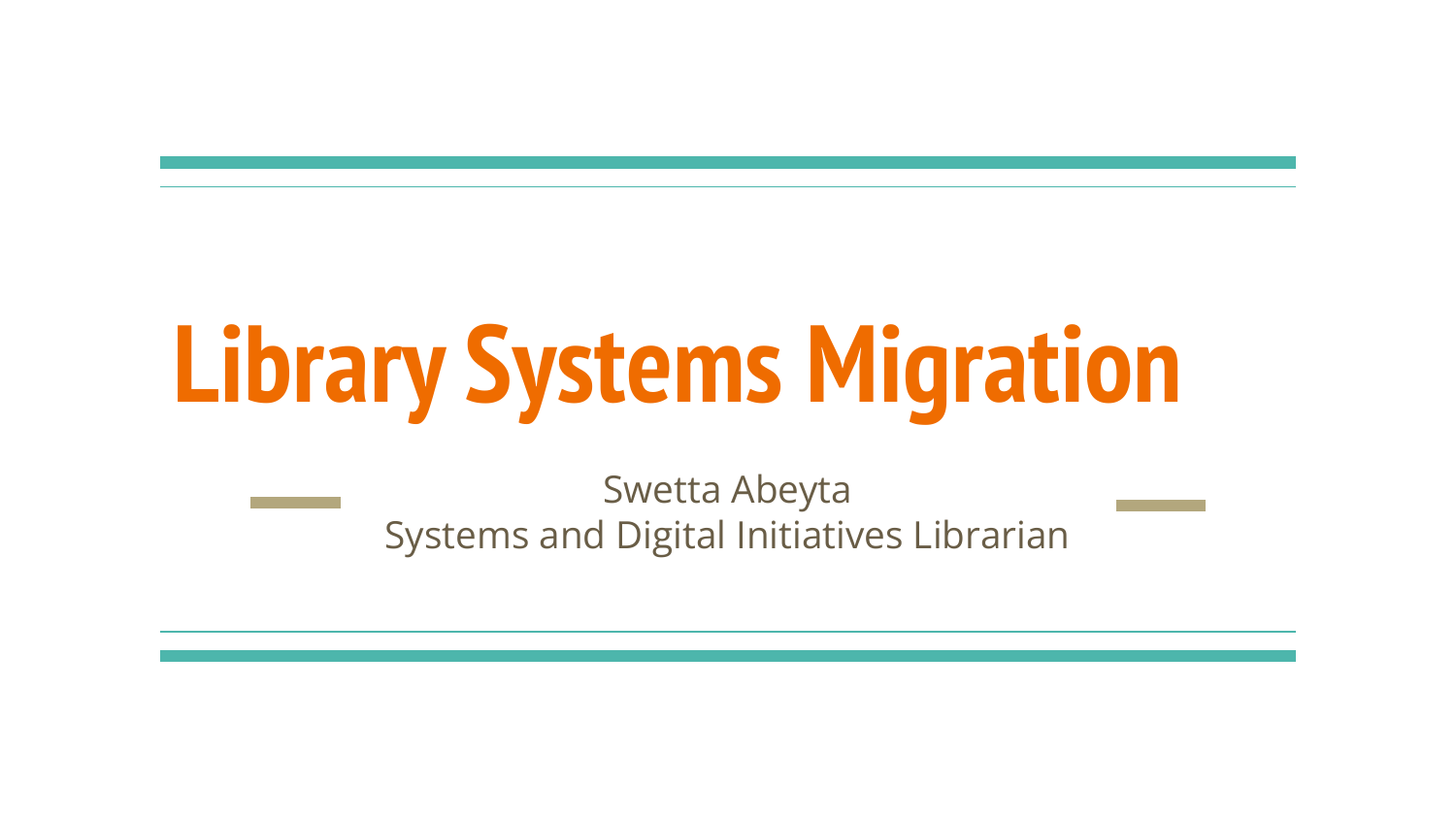# **Library Systems Migration**

Swetta Abeyta Systems and Digital Initiatives Librarian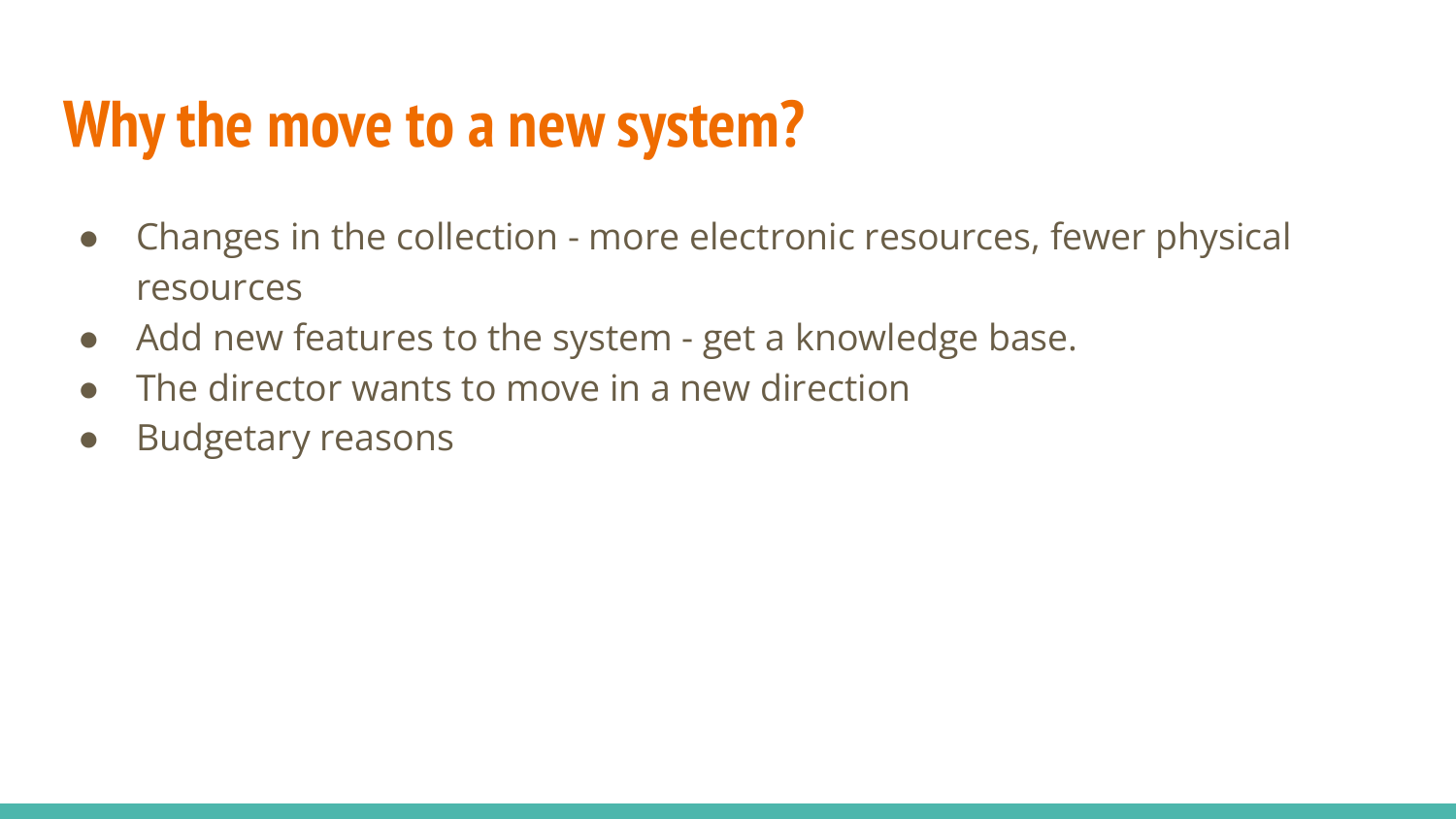#### **Why the move to a new system?**

- Changes in the collection more electronic resources, fewer physical resources
- Add new features to the system get a knowledge base.
- The director wants to move in a new direction
- Budgetary reasons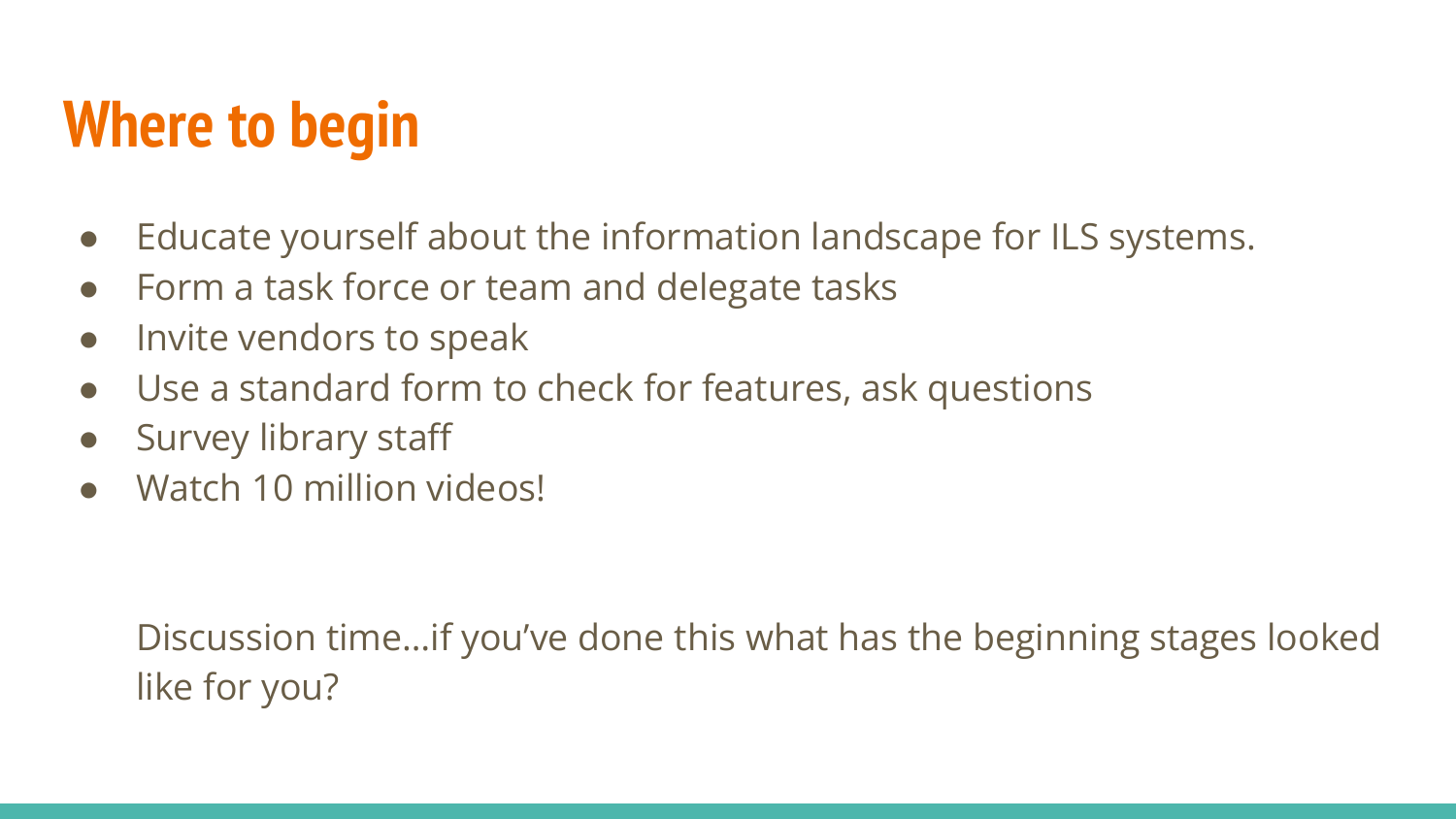## **Where to begin**

- Educate yourself about the information landscape for ILS systems.
- Form a task force or team and delegate tasks
- Invite vendors to speak
- Use a standard form to check for features, ask questions
- Survey library staff
- Watch 10 million videos!

Discussion time…if you've done this what has the beginning stages looked like for you?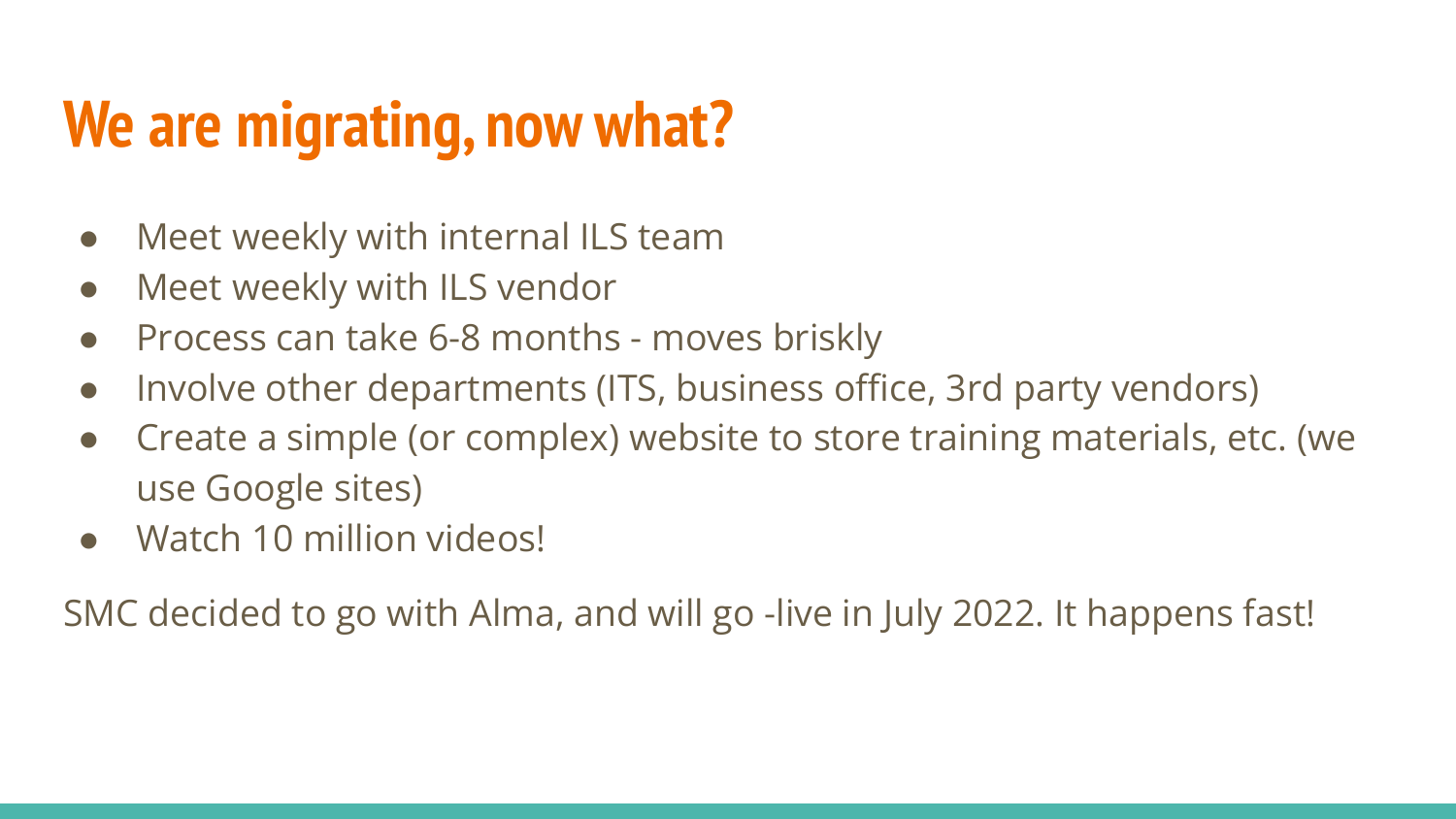## **We are migrating, now what?**

- Meet weekly with internal ILS team
- Meet weekly with ILS vendor
- Process can take 6-8 months moves briskly
- Involve other departments (ITS, business office, 3rd party vendors)
- Create a simple (or complex) website to store training materials, etc. (we use Google sites)
- Watch 10 million videos!

SMC decided to go with Alma, and will go -live in July 2022. It happens fast!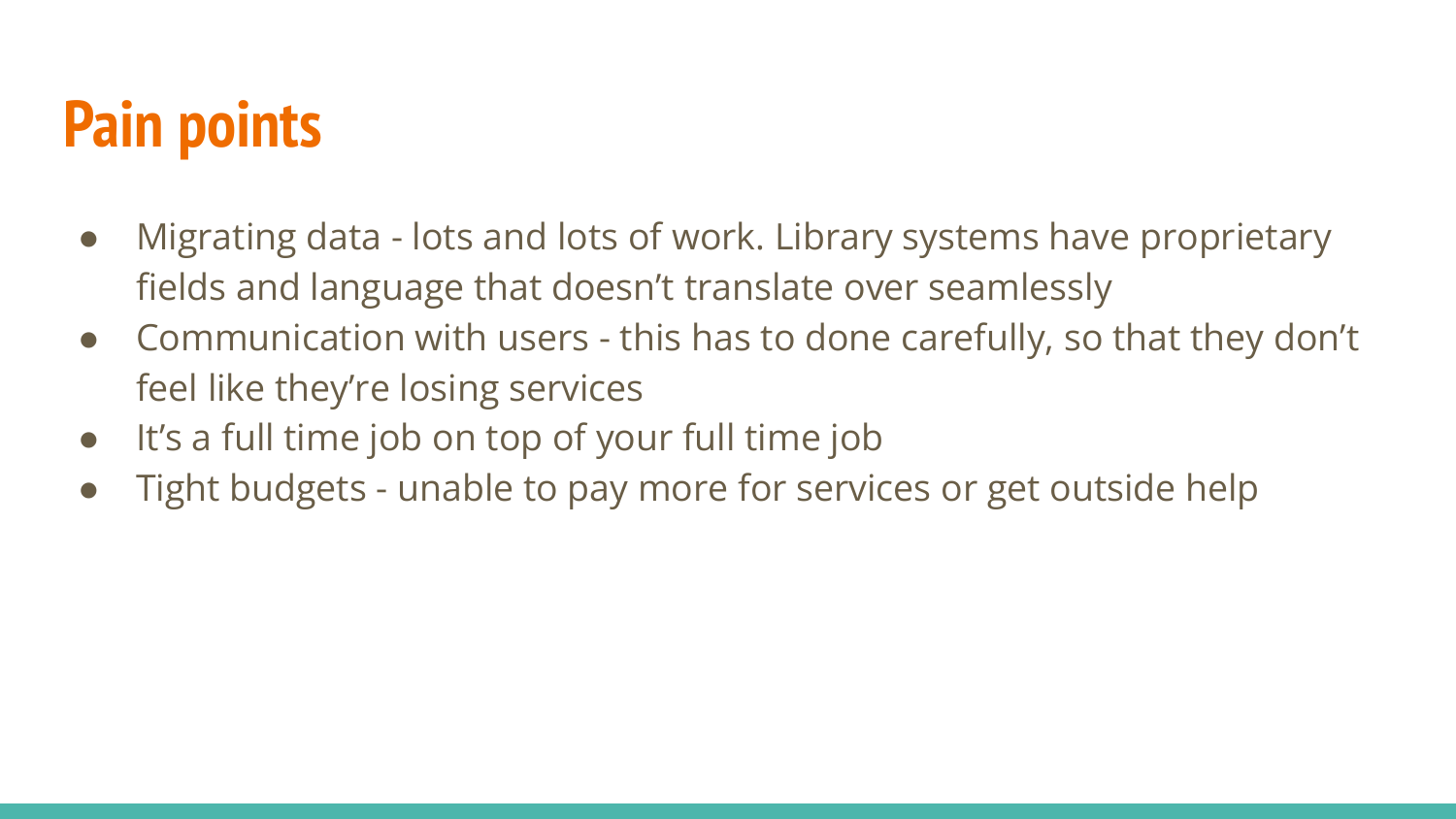### **Pain points**

- Migrating data lots and lots of work. Library systems have proprietary fields and language that doesn't translate over seamlessly
- Communication with users this has to done carefully, so that they don't feel like they're losing services
- It's a full time job on top of your full time job
- Tight budgets unable to pay more for services or get outside help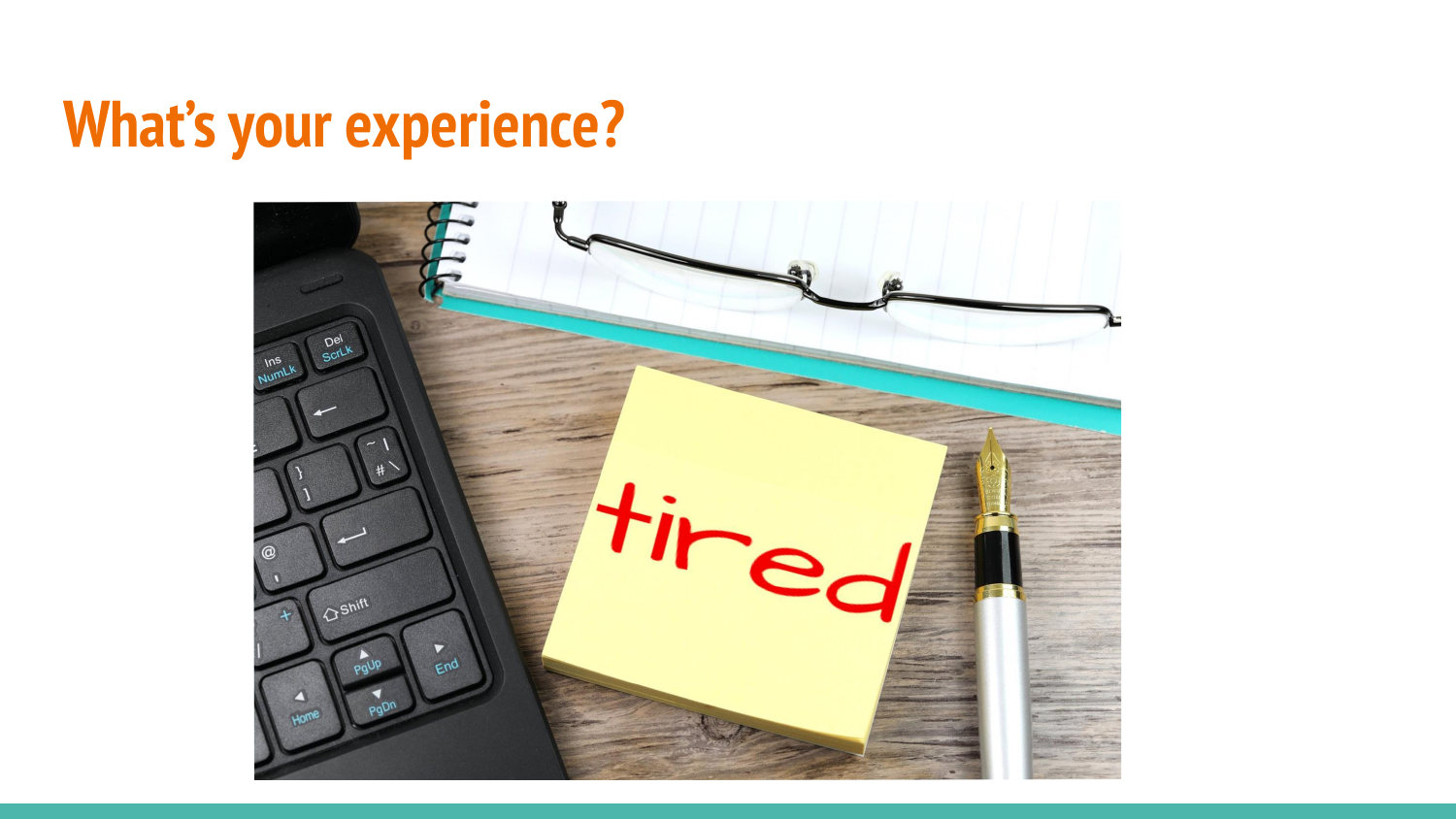### **What's your experience?**